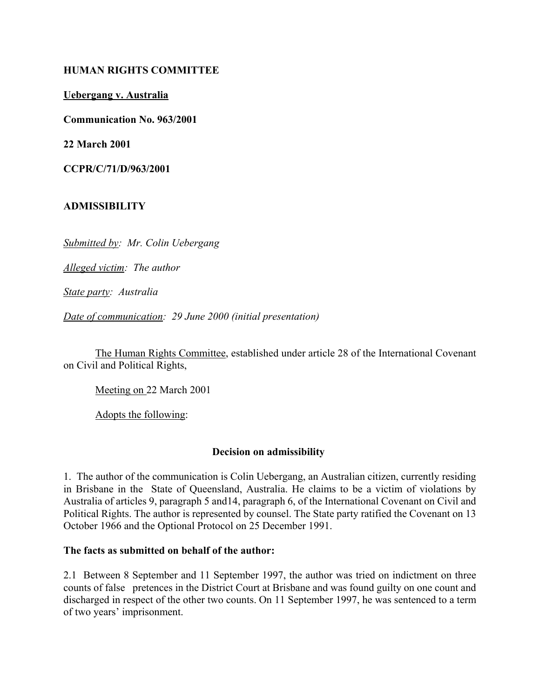## **HUMAN RIGHTS COMMITTEE**

**Uebergang v. Australia**

**Communication No. 963/2001**

**22 March 2001**

**CCPR/C/71/D/963/2001** 

# **ADMISSIBILITY**

*Submitted by: Mr. Colin Uebergang* 

*Alleged victim: The author* 

*State party: Australia* 

*Date of communication: 29 June 2000 (initial presentation)*

The Human Rights Committee, established under article 28 of the International Covenant on Civil and Political Rights,

Meeting on 22 March 2001

Adopts the following:

#### **Decision on admissibility**

1. The author of the communication is Colin Uebergang, an Australian citizen, currently residing in Brisbane in the State of Queensland, Australia. He claims to be a victim of violations by Australia of articles 9, paragraph 5 and14, paragraph 6, of the International Covenant on Civil and Political Rights. The author is represented by counsel. The State party ratified the Covenant on 13 October 1966 and the Optional Protocol on 25 December 1991.

### **The facts as submitted on behalf of the author:**

2.1 Between 8 September and 11 September 1997, the author was tried on indictment on three counts of false pretences in the District Court at Brisbane and was found guilty on one count and discharged in respect of the other two counts. On 11 September 1997, he was sentenced to a term of two years' imprisonment.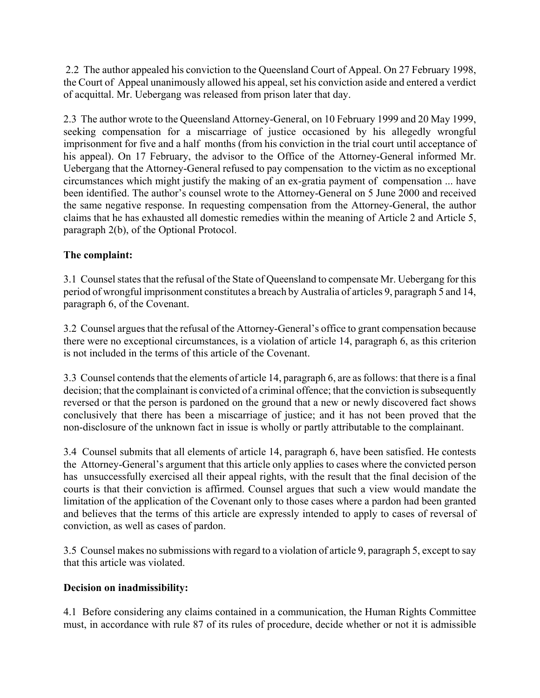2.2 The author appealed his conviction to the Queensland Court of Appeal. On 27 February 1998, the Court of Appeal unanimously allowed his appeal, set his conviction aside and entered a verdict of acquittal. Mr. Uebergang was released from prison later that day.

2.3 The author wrote to the Queensland Attorney-General, on 10 February 1999 and 20 May 1999, seeking compensation for a miscarriage of justice occasioned by his allegedly wrongful imprisonment for five and a half months (from his conviction in the trial court until acceptance of his appeal). On 17 February, the advisor to the Office of the Attorney-General informed Mr. Uebergang that the Attorney-General refused to pay compensation to the victim as no exceptional circumstances which might justify the making of an ex-gratia payment of compensation ... have been identified. The author's counsel wrote to the Attorney-General on 5 June 2000 and received the same negative response. In requesting compensation from the Attorney-General, the author claims that he has exhausted all domestic remedies within the meaning of Article 2 and Article 5, paragraph 2(b), of the Optional Protocol.

# **The complaint:**

3.1 Counsel states that the refusal of the State of Queensland to compensate Mr. Uebergang for this period of wrongful imprisonment constitutes a breach by Australia of articles 9, paragraph 5 and 14, paragraph 6, of the Covenant.

3.2 Counsel argues that the refusal of the Attorney-General's office to grant compensation because there were no exceptional circumstances, is a violation of article 14, paragraph 6, as this criterion is not included in the terms of this article of the Covenant.

3.3 Counsel contends that the elements of article 14, paragraph 6, are as follows: that there is a final decision; that the complainant is convicted of a criminal offence; that the conviction is subsequently reversed or that the person is pardoned on the ground that a new or newly discovered fact shows conclusively that there has been a miscarriage of justice; and it has not been proved that the non-disclosure of the unknown fact in issue is wholly or partly attributable to the complainant.

3.4 Counsel submits that all elements of article 14, paragraph 6, have been satisfied. He contests the Attorney-General's argument that this article only applies to cases where the convicted person has unsuccessfully exercised all their appeal rights, with the result that the final decision of the courts is that their conviction is affirmed. Counsel argues that such a view would mandate the limitation of the application of the Covenant only to those cases where a pardon had been granted and believes that the terms of this article are expressly intended to apply to cases of reversal of conviction, as well as cases of pardon.

3.5 Counsel makes no submissions with regard to a violation of article 9, paragraph 5, except to say that this article was violated.

# **Decision on inadmissibility:**

4.1 Before considering any claims contained in a communication, the Human Rights Committee must, in accordance with rule 87 of its rules of procedure, decide whether or not it is admissible